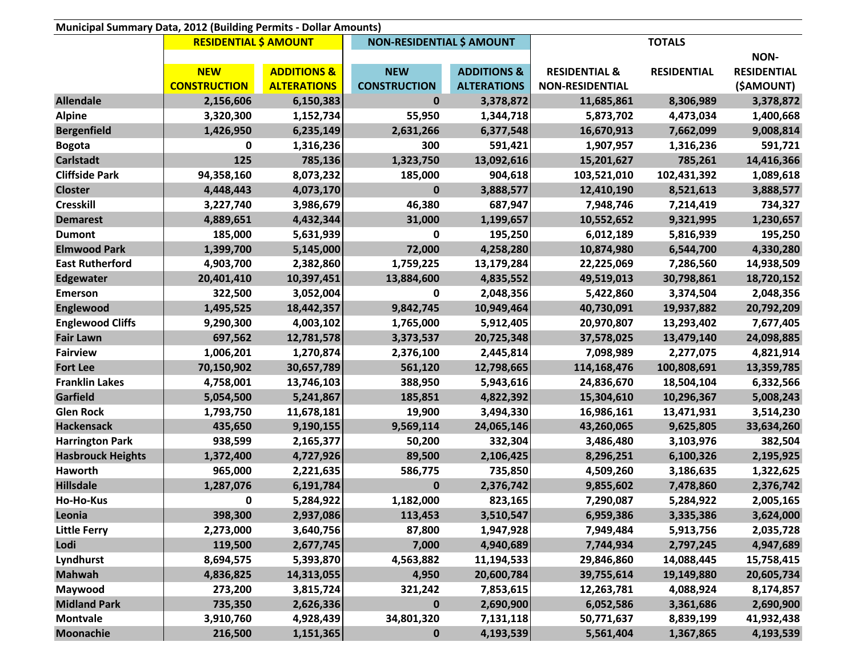| Municipal Summary Data, 2012 (Building Permits - Dollar Amounts) |                              |                        |                                  |                        |                          |                    |                    |
|------------------------------------------------------------------|------------------------------|------------------------|----------------------------------|------------------------|--------------------------|--------------------|--------------------|
|                                                                  | <b>RESIDENTIAL \$ AMOUNT</b> |                        | <b>NON-RESIDENTIAL \$ AMOUNT</b> |                        | <b>TOTALS</b>            |                    |                    |
|                                                                  |                              |                        |                                  |                        |                          |                    | <b>NON-</b>        |
|                                                                  | <b>NEW</b>                   | <b>ADDITIONS &amp;</b> | <b>NEW</b>                       | <b>ADDITIONS &amp;</b> | <b>RESIDENTIAL &amp;</b> | <b>RESIDENTIAL</b> | <b>RESIDENTIAL</b> |
|                                                                  | <b>CONSTRUCTION</b>          | <b>ALTERATIONS</b>     | <b>CONSTRUCTION</b>              | <b>ALTERATIONS</b>     | <b>NON-RESIDENTIAL</b>   |                    | (\$AMOUNT)         |
| <b>Allendale</b>                                                 | 2,156,606                    | 6,150,383              | $\bf{0}$                         | 3,378,872              | 11,685,861               | 8,306,989          | 3,378,872          |
| <b>Alpine</b>                                                    | 3,320,300                    | 1,152,734              | 55,950                           | 1,344,718              | 5,873,702                | 4,473,034          | 1,400,668          |
| <b>Bergenfield</b>                                               | 1,426,950                    | 6,235,149              | 2,631,266                        | 6,377,548              | 16,670,913               | 7,662,099          | 9,008,814          |
| <b>Bogota</b>                                                    | 0                            | 1,316,236              | 300                              | 591,421                | 1,907,957                | 1,316,236          | 591,721            |
| <b>Carlstadt</b>                                                 | 125                          | 785,136                | 1,323,750                        | 13,092,616             | 15,201,627               | 785,261            | 14,416,366         |
| <b>Cliffside Park</b>                                            | 94,358,160                   | 8,073,232              | 185,000                          | 904,618                | 103,521,010              | 102,431,392        | 1,089,618          |
| <b>Closter</b>                                                   | 4,448,443                    | 4,073,170              | $\bf{0}$                         | 3,888,577              | 12,410,190               | 8,521,613          | 3,888,577          |
| <b>Cresskill</b>                                                 | 3,227,740                    | 3,986,679              | 46,380                           | 687,947                | 7,948,746                | 7,214,419          | 734,327            |
| <b>Demarest</b>                                                  | 4,889,651                    | 4,432,344              | 31,000                           | 1,199,657              | 10,552,652               | 9,321,995          | 1,230,657          |
| <b>Dumont</b>                                                    | 185,000                      | 5,631,939              | 0                                | 195,250                | 6,012,189                | 5,816,939          | 195,250            |
| <b>Elmwood Park</b>                                              | 1,399,700                    | 5,145,000              | 72,000                           | 4,258,280              | 10,874,980               | 6,544,700          | 4,330,280          |
| <b>East Rutherford</b>                                           | 4,903,700                    | 2,382,860              | 1,759,225                        | 13,179,284             | 22,225,069               | 7,286,560          | 14,938,509         |
| <b>Edgewater</b>                                                 | 20,401,410                   | 10,397,451             | 13,884,600                       | 4,835,552              | 49,519,013               | 30,798,861         | 18,720,152         |
| <b>Emerson</b>                                                   | 322,500                      | 3,052,004              | 0                                | 2,048,356              | 5,422,860                | 3,374,504          | 2,048,356          |
| <b>Englewood</b>                                                 | 1,495,525                    | 18,442,357             | 9,842,745                        | 10,949,464             | 40,730,091               | 19,937,882         | 20,792,209         |
| <b>Englewood Cliffs</b>                                          | 9,290,300                    | 4,003,102              | 1,765,000                        | 5,912,405              | 20,970,807               | 13,293,402         | 7,677,405          |
| <b>Fair Lawn</b>                                                 | 697,562                      | 12,781,578             | 3,373,537                        | 20,725,348             | 37,578,025               | 13,479,140         | 24,098,885         |
| <b>Fairview</b>                                                  | 1,006,201                    | 1,270,874              | 2,376,100                        | 2,445,814              | 7,098,989                | 2,277,075          | 4,821,914          |
| <b>Fort Lee</b>                                                  | 70,150,902                   | 30,657,789             | 561,120                          | 12,798,665             | 114,168,476              | 100,808,691        | 13,359,785         |
| <b>Franklin Lakes</b>                                            | 4,758,001                    | 13,746,103             | 388,950                          | 5,943,616              | 24,836,670               | 18,504,104         | 6,332,566          |
| Garfield                                                         | 5,054,500                    | 5,241,867              | 185,851                          | 4,822,392              | 15,304,610               | 10,296,367         | 5,008,243          |
| <b>Glen Rock</b>                                                 | 1,793,750                    | 11,678,181             | 19,900                           | 3,494,330              | 16,986,161               | 13,471,931         | 3,514,230          |
| <b>Hackensack</b>                                                | 435,650                      | 9,190,155              | 9,569,114                        | 24,065,146             | 43,260,065               | 9,625,805          | 33,634,260         |
| <b>Harrington Park</b>                                           | 938,599                      | 2,165,377              | 50,200                           | 332,304                | 3,486,480                | 3,103,976          | 382,504            |
| <b>Hasbrouck Heights</b>                                         | 1,372,400                    | 4,727,926              | 89,500                           | 2,106,425              | 8,296,251                | 6,100,326          | 2,195,925          |
| Haworth                                                          | 965,000                      | 2,221,635              | 586,775                          | 735,850                | 4,509,260                | 3,186,635          | 1,322,625          |
| <b>Hillsdale</b>                                                 | 1,287,076                    | 6,191,784              | $\bf{0}$                         | 2,376,742              | 9,855,602                | 7,478,860          | 2,376,742          |
| Ho-Ho-Kus                                                        | 0                            | 5,284,922              | 1,182,000                        | 823,165                | 7,290,087                | 5,284,922          | 2,005,165          |
| Leonia                                                           | 398,300                      | 2,937,086              | 113,453                          | 3,510,547              | 6,959,386                | 3,335,386          | 3,624,000          |
| <b>Little Ferry</b>                                              | 2,273,000                    | 3,640,756              | 87,800                           | 1,947,928              | 7,949,484                | 5,913,756          | 2,035,728          |
| Lodi                                                             | 119,500                      | 2,677,745              | 7,000                            | 4,940,689              | 7,744,934                | 2,797,245          | 4,947,689          |
| Lyndhurst                                                        | 8,694,575                    | 5,393,870              | 4,563,882                        | 11,194,533             | 29,846,860               | 14,088,445         | 15,758,415         |
| <b>Mahwah</b>                                                    | 4,836,825                    | 14,313,055             | 4,950                            | 20,600,784             | 39,755,614               | 19,149,880         | 20,605,734         |
| Maywood                                                          | 273,200                      | 3,815,724              | 321,242                          | 7,853,615              | 12,263,781               | 4,088,924          | 8,174,857          |
| <b>Midland Park</b>                                              | 735,350                      | 2,626,336              | $\mathbf 0$                      | 2,690,900              | 6,052,586                | 3,361,686          | 2,690,900          |
| <b>Montvale</b>                                                  | 3,910,760                    | 4,928,439              | 34,801,320                       | 7,131,118              | 50,771,637               | 8,839,199          | 41,932,438         |
| <b>Moonachie</b>                                                 | 216,500                      | 1,151,365              | 0                                | 4,193,539              | 5,561,404                | 1,367,865          | 4,193,539          |